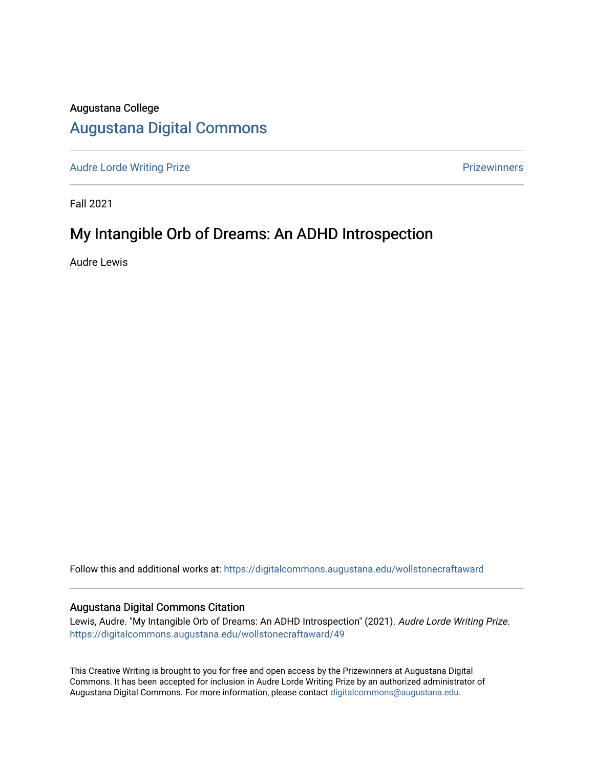## Augustana College

## [Augustana Digital Commons](https://digitalcommons.augustana.edu/)

[Audre Lorde Writing Prize](https://digitalcommons.augustana.edu/wollstonecraftaward) **Prize Audre Lorde Writing Prize** Prize Prize Prize Prize Prize Prize Prize Prize Prize

Fall 2021

## My Intangible Orb of Dreams: An ADHD Introspection

Audre Lewis

Follow this and additional works at: [https://digitalcommons.augustana.edu/wollstonecraftaward](https://digitalcommons.augustana.edu/wollstonecraftaward?utm_source=digitalcommons.augustana.edu%2Fwollstonecraftaward%2F49&utm_medium=PDF&utm_campaign=PDFCoverPages) 

## Augustana Digital Commons Citation

Lewis, Audre. "My Intangible Orb of Dreams: An ADHD Introspection" (2021). Audre Lorde Writing Prize. [https://digitalcommons.augustana.edu/wollstonecraftaward/49](https://digitalcommons.augustana.edu/wollstonecraftaward/49?utm_source=digitalcommons.augustana.edu%2Fwollstonecraftaward%2F49&utm_medium=PDF&utm_campaign=PDFCoverPages)

This Creative Writing is brought to you for free and open access by the Prizewinners at Augustana Digital Commons. It has been accepted for inclusion in Audre Lorde Writing Prize by an authorized administrator of Augustana Digital Commons. For more information, please contact [digitalcommons@augustana.edu](mailto:digitalcommons@augustana.edu).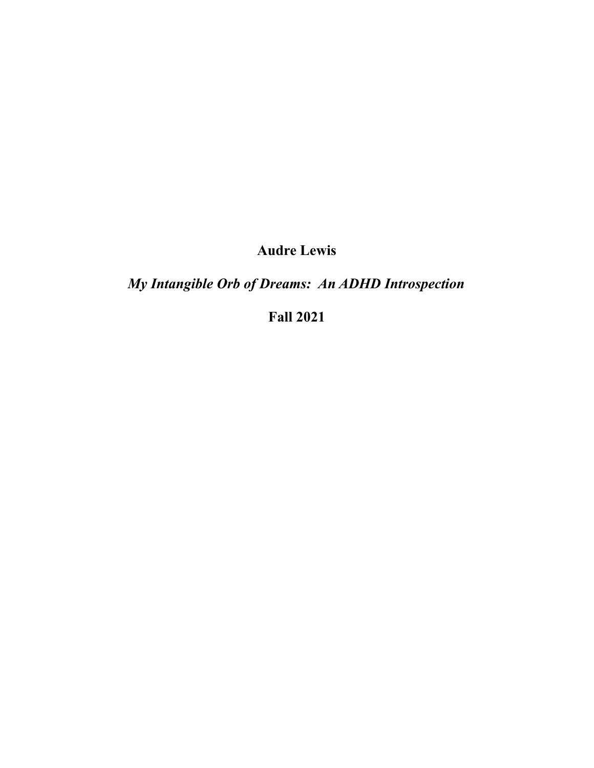**Audre Lewis**

*My Intangible Orb of Dreams: An ADHD Introspection*

**Fall 2021**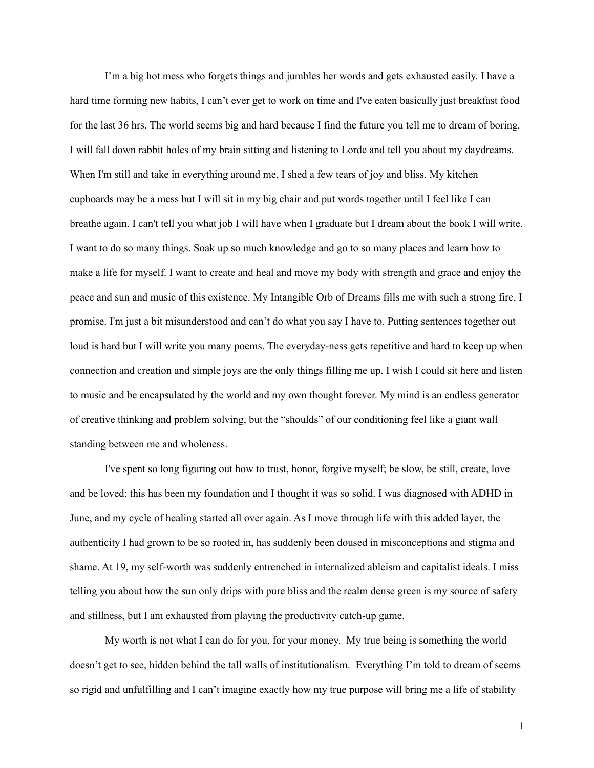I'm a big hot mess who forgets things and jumbles her words and gets exhausted easily. I have a hard time forming new habits, I can't ever get to work on time and I've eaten basically just breakfast food for the last 36 hrs. The world seems big and hard because I find the future you tell me to dream of boring. I will fall down rabbit holes of my brain sitting and listening to Lorde and tell you about my daydreams. When I'm still and take in everything around me, I shed a few tears of joy and bliss. My kitchen cupboards may be a mess but I will sit in my big chair and put words together until I feel like I can breathe again. I can't tell you what job I will have when I graduate but I dream about the book I will write. I want to do so many things. Soak up so much knowledge and go to so many places and learn how to make a life for myself. I want to create and heal and move my body with strength and grace and enjoy the peace and sun and music of this existence. My Intangible Orb of Dreams fills me with such a strong fire, I promise. I'm just a bit misunderstood and can't do what you say I have to. Putting sentences together out loud is hard but I will write you many poems. The everyday-ness gets repetitive and hard to keep up when connection and creation and simple joys are the only things filling me up. I wish I could sit here and listen to music and be encapsulated by the world and my own thought forever. My mind is an endless generator of creative thinking and problem solving, but the "shoulds" of our conditioning feel like a giant wall standing between me and wholeness.

I've spent so long figuring out how to trust, honor, forgive myself; be slow, be still, create, love and be loved: this has been my foundation and I thought it was so solid. I was diagnosed with ADHD in June, and my cycle of healing started all over again. As I move through life with this added layer, the authenticity I had grown to be so rooted in, has suddenly been doused in misconceptions and stigma and shame. At 19, my self-worth was suddenly entrenched in internalized ableism and capitalist ideals. I miss telling you about how the sun only drips with pure bliss and the realm dense green is my source of safety and stillness, but I am exhausted from playing the productivity catch-up game.

My worth is not what I can do for you, for your money. My true being is something the world doesn't get to see, hidden behind the tall walls of institutionalism. Everything I'm told to dream of seems so rigid and unfulfilling and I can't imagine exactly how my true purpose will bring me a life of stability

1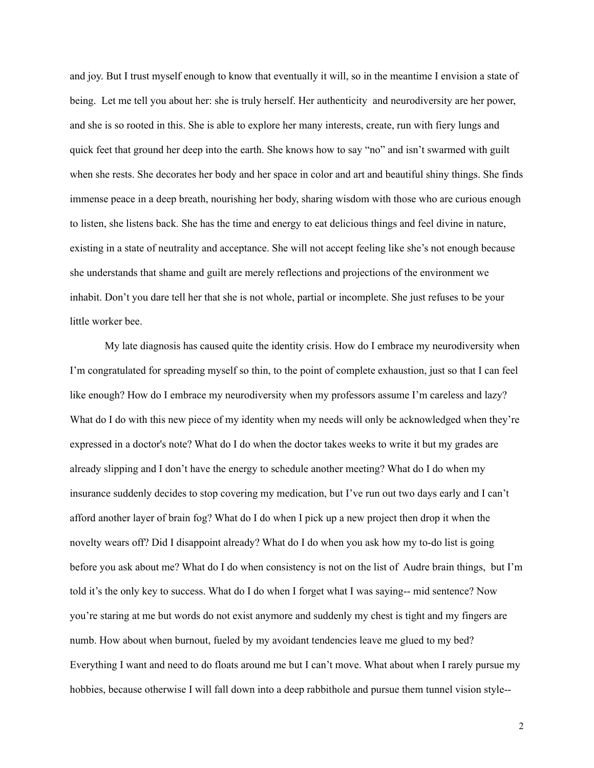and joy. But I trust myself enough to know that eventually it will, so in the meantime I envision a state of being. Let me tell you about her: she is truly herself. Her authenticity and neurodiversity are her power, and she is so rooted in this. She is able to explore her many interests, create, run with fiery lungs and quick feet that ground her deep into the earth. She knows how to say "no" and isn't swarmed with guilt when she rests. She decorates her body and her space in color and art and beautiful shiny things. She finds immense peace in a deep breath, nourishing her body, sharing wisdom with those who are curious enough to listen, she listens back. She has the time and energy to eat delicious things and feel divine in nature, existing in a state of neutrality and acceptance. She will not accept feeling like she's not enough because she understands that shame and guilt are merely reflections and projections of the environment we inhabit. Don't you dare tell her that she is not whole, partial or incomplete. She just refuses to be your little worker bee.

My late diagnosis has caused quite the identity crisis. How do I embrace my neurodiversity when I'm congratulated for spreading myself so thin, to the point of complete exhaustion, just so that I can feel like enough? How do I embrace my neurodiversity when my professors assume I'm careless and lazy? What do I do with this new piece of my identity when my needs will only be acknowledged when they're expressed in a doctor's note? What do I do when the doctor takes weeks to write it but my grades are already slipping and I don't have the energy to schedule another meeting? What do I do when my insurance suddenly decides to stop covering my medication, but I've run out two days early and I can't afford another layer of brain fog? What do I do when I pick up a new project then drop it when the novelty wears off? Did I disappoint already? What do I do when you ask how my to-do list is going before you ask about me? What do I do when consistency is not on the list of Audre brain things, but I'm told it's the only key to success. What do I do when I forget what I was saying-- mid sentence? Now you're staring at me but words do not exist anymore and suddenly my chest is tight and my fingers are numb. How about when burnout, fueled by my avoidant tendencies leave me glued to my bed? Everything I want and need to do floats around me but I can't move. What about when I rarely pursue my hobbies, because otherwise I will fall down into a deep rabbithole and pursue them tunnel vision style--

2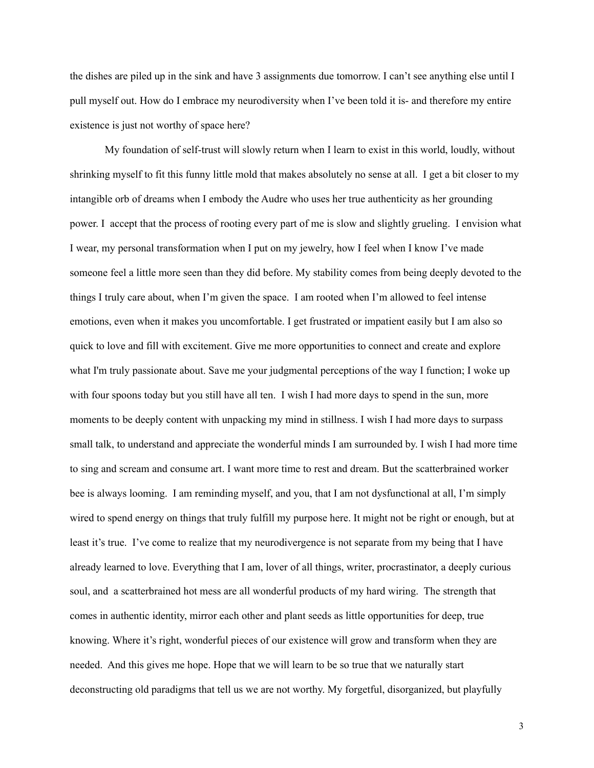the dishes are piled up in the sink and have 3 assignments due tomorrow. I can't see anything else until I pull myself out. How do I embrace my neurodiversity when I've been told it is- and therefore my entire existence is just not worthy of space here?

My foundation of self-trust will slowly return when I learn to exist in this world, loudly, without shrinking myself to fit this funny little mold that makes absolutely no sense at all. I get a bit closer to my intangible orb of dreams when I embody the Audre who uses her true authenticity as her grounding power. I accept that the process of rooting every part of me is slow and slightly grueling. I envision what I wear, my personal transformation when I put on my jewelry, how I feel when I know I've made someone feel a little more seen than they did before. My stability comes from being deeply devoted to the things I truly care about, when I'm given the space. I am rooted when I'm allowed to feel intense emotions, even when it makes you uncomfortable. I get frustrated or impatient easily but I am also so quick to love and fill with excitement. Give me more opportunities to connect and create and explore what I'm truly passionate about. Save me your judgmental perceptions of the way I function; I woke up with four spoons today but you still have all ten. I wish I had more days to spend in the sun, more moments to be deeply content with unpacking my mind in stillness. I wish I had more days to surpass small talk, to understand and appreciate the wonderful minds I am surrounded by. I wish I had more time to sing and scream and consume art. I want more time to rest and dream. But the scatterbrained worker bee is always looming. I am reminding myself, and you, that I am not dysfunctional at all, I'm simply wired to spend energy on things that truly fulfill my purpose here. It might not be right or enough, but at least it's true. I've come to realize that my neurodivergence is not separate from my being that I have already learned to love. Everything that I am, lover of all things, writer, procrastinator, a deeply curious soul, and a scatterbrained hot mess are all wonderful products of my hard wiring. The strength that comes in authentic identity, mirror each other and plant seeds as little opportunities for deep, true knowing. Where it's right, wonderful pieces of our existence will grow and transform when they are needed. And this gives me hope. Hope that we will learn to be so true that we naturally start deconstructing old paradigms that tell us we are not worthy. My forgetful, disorganized, but playfully

3